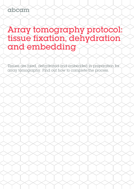# Array tomography protocol: tissue fixation, dehydration and embedding

Tissues are fixed, dehydrated and embedded in preparation for array tomography. Find out how to complete the process.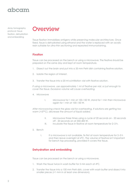## gbcgm

Array tomography protocol: tissue fixation, dehydration and embedding



Tissue fixation immobilizes antigens while preserving molecular architecture. Once fixed, tissue is dehydrated using ethanol and the water is replaced with an acrylic resin suitable for ultra-thin sectioning and repeated immunostaining.

### **Fixation**

Tissue can be processed on the bench or using a microwave. The fixative should be prepared on the same day and kept at room temperature.

- 1. Dissect out the brain and put into a 35 mm Petri dish containing fixative solution.
- 2. Isolate the region of interest.
- 3. Transfer the tissue into a 20 ml scintillation vial with fixative solution.

*If using a microwave, use approximately 1 ml of fixative per vial, or just enough to cover the tissue. Excessive volume will cause overheating.* 

- 4. Microwave
	- I. Microwave for 1 min at 100–150 W, stand for 1 min then microwave again for 1 min at 100–150 W.

*After microwaving check the glass vial for overheating. If solutions are getting too warm (>37°C), decrease the amount of liquid added.* 

- II. Microwave three times using a cycle of 20 seconds on 20 seconds off - 20 seconds on at 350-400 W.
- III. Incubate the tissue in fixative at room temperature for 2–3 h.
- 5. Bench
	- I. If a microwave is not available, fix first at room temperature for 2–3 h and then leave overnight at 4°C. The volume of fixative isn't important for bench top processing, provided it covers the tissue.

### **Dehydration and embedding**

Tissue can be processed on the bench or using a microwave.

- 1. Wash the tissue twice in wash buffer for 5 min each at 4°C.
- 2. Transfer the tissue into a 100 mm Petri dish, cover with wash buffer and dissect into smaller pieces (<1 mm in at least one dimension).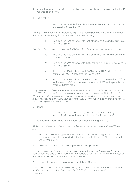- 3. Return the tissue to the 20 ml scintillation vial and wash twice in wash buffer, for 15 minutes each at 4°C.
- 4. Microwave
	- I. Replace the wash buffer with  $50\%$  ethanol at  $4^{\circ}$ C and microwave samples for 45 s at 350 W.

*If using a microwave, use approximately 1 ml of liquid per vial, or just enough to cover the tissue. Excessive liquid volume will cause overheating.* 

> II. Replace the 50% ethanol with 70% ethanol at 4°C and microwave for 45 s at 350 W.

*Stop here if processing samples with GFP or other fluorescent proteins (see below).* 

- III. Replace the 70% ethanol with 95% ethanol at  $4^{\circ}$ C and microwave for 45 s at 350 W.
- IV. Replace the 95% ethanol with 100% ethanol at 4°C and microwave for 45 s at 350 W.
- V. Replace the 100% ethanol with 100% ethanol:LR White resin (1:1 mixture) at 4°C . Microwave for 45 s at 350 W.
- VI. Replace the 100% ethanol:LR White resin (1:1 mixture) with 100% LR White resin at 4°C and microwave for 45 s at 350 W. Repeat twice more with fresh resin.

*For preservation of GFP fluorescence omit the 95% and 100% ethanol steps. Instead, add 70% ethanol again and then place samples into a mixture of 70% ethanol:LR White resin (1:3; if it turns cloudy add one to two extra drops of LR White resin) and microwave for 45 s at 350W. Replace with 100% LR White resin and microwave for 45 s at 350 W; repeat this twice more.* 

- 5. Bench
- I. If a microwave isn't available, perform steps 4.1 to 4.6 by incubating in the indicated solutions for 5 minutes at 4oC.
- 6. Replace with fresh 100% LR White resin and leave overnight at 4°C.

*At this point, if needed, the sample can be left for several days at 4°C in LR White resin.* 

- 7. Using a fine paintbrush, place tissue pieces at the bottom of gelatin capsules (paper labels can also be added inside the capsule, Figure 1). Fill to the rim with 100% LR White resin.
- 8. Close the capsules securely and place into a capsule mold.

*Oxygen inhibits LR White resin polymerization, which is why gelatin capsules that completely exclude air are used. The little bubble of air that will remain at the top of the capsule will not interfere with the polymerization.* 

9. Put capsules into an oven at approximately 53°C for 24 h.

*If the oven temperature falls below 50°C, the resin may not polymerize. It is better to set the oven temperature just above 50°C (~53°C) to ensure consistent polymerization.*